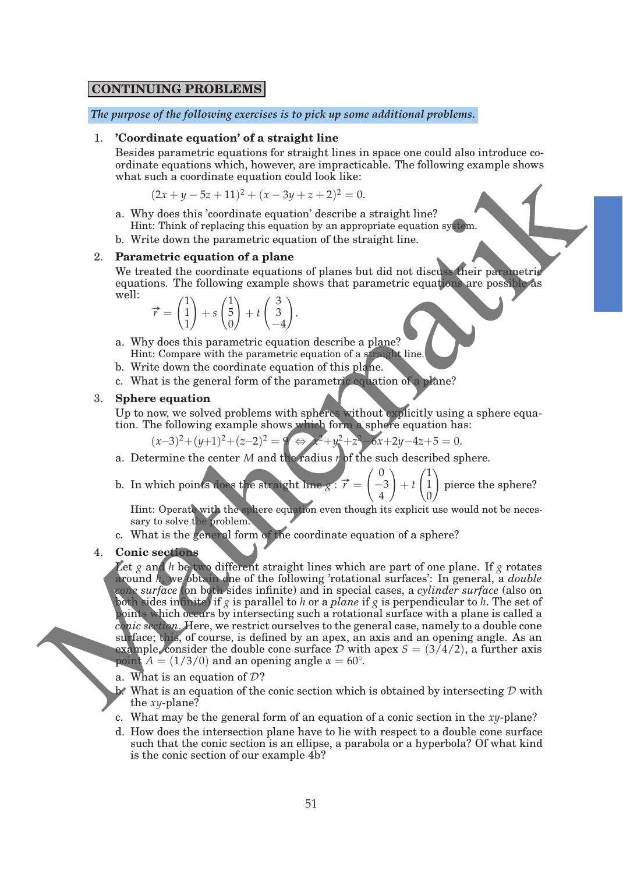## **CONTINUING PROBLEMS**

*The purpose of the following exercises is to pick up some additional problems.*

### 1. **'Coordinate equation' of a straight line**

Besides parametric equations for straight lines in space one could also introduce coordinate equations which, however, are impracticable. The following example shows what such a coordinate equation could look like:

$$
(2x + y - 5z + 11)^2 + (x - 3y + z + 2)^2 = 0.
$$

- a. Why does this 'coordinate equation' describe a straight line? Hint: Think of replacing this equation by an appropriate equation system.
- b. Write down the parametric equation of the straight line.

### 2. **Parametric equation of a plane**

We treated the coordinate equations of planes but did not discuss their parametric equations. The following example shows that parametric equations are possible as well:

$$
\vec{r} = \begin{pmatrix} 1 \\ 1 \\ 1 \end{pmatrix} + s \begin{pmatrix} 1 \\ 5 \\ 0 \end{pmatrix} + t \begin{pmatrix} 3 \\ 3 \\ -4 \end{pmatrix}.
$$

- a. Why does this parametric equation describe a plane? Hint: Compare with the parametric equation of a straight line.
- b. Write down the coordinate equation of this plane.
- c. What is the general form of the parametric equation of a plane?

### 3. **Sphere equation**

Up to now, we solved problems with spheres without explicitly using a sphere equation. The following example shows which form a sphere equation has:

$$
(x-3)^2 + (y+1)^2 + (z-2)^2 = 9 \Leftrightarrow x^2 + y^2 + z^2 - 6x + 2y - 4z + 5 = 0.
$$

- a. Determine the center *M* and the radius *r* of the such described sphere.
- b. In which points does the straight line  $g: \vec{r} = \begin{pmatrix} 0 & 0 \end{pmatrix}$ −3 4  $\setminus$ + *t*  $\sqrt{1}$ 1  $\mathbf{0}$  $\setminus$ pierce the sphere?

Hint: Operate with the sphere equation even though its explicit use would not be necessary to solve the problem.

c. What is the general form of the coordinate equation of a sphere?

### 4. **Conic sections**

Let  $g$  and  $h$  be two different straight lines which are part of one plane. If  $g$  rotates around *h*, we obtain one of the following 'rotational surfaces': In general, a *double cone surface* (on both sides infinite) and in special cases, a *cylinder surface* (also on both sides infinite) if *g* is parallel to *h* or a *plane* if *g* is perpendicular to *h*. The set of points which occurs by intersecting such a rotational surface with a plane is called a *conic section*. Here, we restrict ourselves to the general case, namely to a double cone surface; this, of course, is defined by an apex, an axis and an opening angle. As an example, consider the double cone surface  $D$  with apex  $S = (3/4/2)$ , a further axis point  $A = (1/3/0)$  and an opening angle  $\alpha = 60^{\circ}$ . ordinate equations which, however, and inpreciated in the following example at<br>hows what such a coordinate equation coordinate equation (see that is a coordinate equation of a plane and the straight line?<br>
Why these this

- a. What is an equation of  $\mathcal{D}$ ?
- $\mathbf{b}^*$ . What is an equation of the conic section which is obtained by intersecting D with the *xy*-plane?
- c. What may be the general form of an equation of a conic section in the *xy*-plane?
- d. How does the intersection plane have to lie with respect to a double cone surface such that the conic section is an ellipse, a parabola or a hyperbola? Of what kind is the conic section of our example 4b?